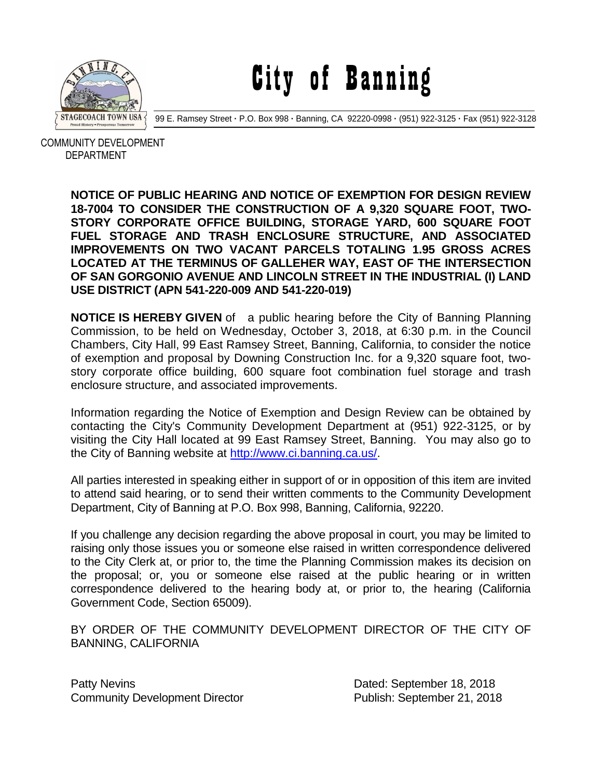

City of Banning

99 E. Ramsey Street **·** P.O. Box 998 **·** Banning, CA 92220-0998 **·** (951) 922-3125 **·** Fax (951) 922-3128

 COMMUNITY DEVELOPMENT DEPARTMENT

> **NOTICE OF PUBLIC HEARING AND NOTICE OF EXEMPTION FOR DESIGN REVIEW 18-7004 TO CONSIDER THE CONSTRUCTION OF A 9,320 SQUARE FOOT, TWO-STORY CORPORATE OFFICE BUILDING, STORAGE YARD, 600 SQUARE FOOT FUEL STORAGE AND TRASH ENCLOSURE STRUCTURE, AND ASSOCIATED IMPROVEMENTS ON TWO VACANT PARCELS TOTALING 1.95 GROSS ACRES LOCATED AT THE TERMINUS OF GALLEHER WAY, EAST OF THE INTERSECTION OF SAN GORGONIO AVENUE AND LINCOLN STREET IN THE INDUSTRIAL (I) LAND USE DISTRICT (APN 541-220-009 AND 541-220-019)**

> **NOTICE IS HEREBY GIVEN** of a public hearing before the City of Banning Planning Commission, to be held on Wednesday, October 3, 2018, at 6:30 p.m. in the Council Chambers, City Hall, 99 East Ramsey Street, Banning, California, to consider the notice of exemption and proposal by Downing Construction Inc. for a 9,320 square foot, twostory corporate office building, 600 square foot combination fuel storage and trash enclosure structure, and associated improvements.

> Information regarding the Notice of Exemption and Design Review can be obtained by contacting the City's Community Development Department at (951) 922-3125, or by visiting the City Hall located at 99 East Ramsey Street, Banning. You may also go to the City of Banning website at [http://www.ci.banning.ca.us/.](http://www.ci.banning.ca.us/)

> All parties interested in speaking either in support of or in opposition of this item are invited to attend said hearing, or to send their written comments to the Community Development Department, City of Banning at P.O. Box 998, Banning, California, 92220.

> If you challenge any decision regarding the above proposal in court, you may be limited to raising only those issues you or someone else raised in written correspondence delivered to the City Clerk at, or prior to, the time the Planning Commission makes its decision on the proposal; or, you or someone else raised at the public hearing or in written correspondence delivered to the hearing body at, or prior to, the hearing (California Government Code, Section 65009).

> BY ORDER OF THE COMMUNITY DEVELOPMENT DIRECTOR OF THE CITY OF BANNING, CALIFORNIA

Patty Nevins **Patty News** 2018 Community Development Director **Publish: September 21, 2018**